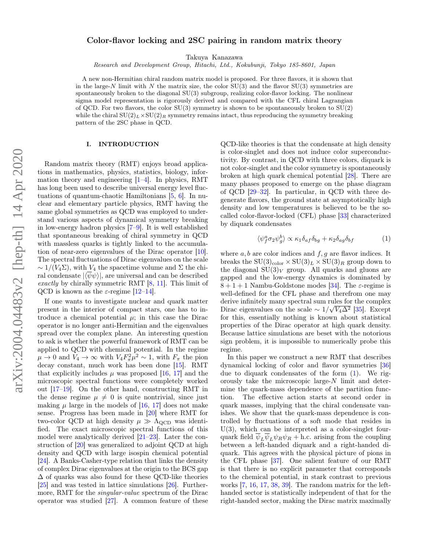# Color-flavor locking and 2SC pairing in random matrix theory

Takuya Kanazawa

Research and Development Group, Hitachi, Ltd., Kokubunji, Tokyo 185-8601, Japan

A new non-Hermitian chiral random matrix model is proposed. For three flavors, it is shown that in the large-N limit with N the matrix size, the color  $SU(3)$  and the flavor  $SU(3)$  symmetries are spontaneously broken to the diagonal  $SU(3)$  subgroup, realizing color-flavor locking. The nonlinear sigma model representation is rigorously derived and compared with the CFL chiral Lagrangian of QCD. For two flavors, the color  $SU(3)$  symmetry is shown to be spontaneously broken to  $SU(2)$ while the chiral  $SU(2)_L \times SU(2)_R$  symmetry remains intact, thus reproducing the symmetry breaking pattern of the 2SC phase in QCD.

### I. INTRODUCTION

Random matrix theory (RMT) enjoys broad applications in mathematics, physics, statistics, biology, information theory and engineering  $[1-4]$  $[1-4]$ . In physics, RMT has long been used to describe universal energy level fluctuations of quantum-chaotic Hamiltonians [\[5,](#page-6-2) [6\]](#page-6-3). In nuclear and elementary particle physics, RMT having the same global symmetries as QCD was employed to understand various aspects of dynamical symmetry breaking in low-energy hadron physics [\[7–](#page-6-4)[9\]](#page-6-5). It is well established that spontaneous breaking of chiral symmetry in QCD with massless quarks is tightly linked to the accumulation of near-zero eigenvalues of the Dirac operator [\[10\]](#page-6-6). The spectral fluctuations of Dirac eigenvalues on the scale  $\sim 1/(V_4 \Sigma)$ , with  $V_4$  the spacetime volume and  $\Sigma$  the chiral condensate  $|\langle \overline{\psi}\psi \rangle|$ , are universal and can be described exactly by chirally symmetric RMT  $[8, 11]$  $[8, 11]$  $[8, 11]$ . This limit of QCD is known as the  $\varepsilon$ -regime [\[12–](#page-6-9)[14\]](#page-6-10).

If one wants to investigate nuclear and quark matter present in the interior of compact stars, one has to introduce a chemical potential  $\mu$ ; in this case the Dirac operator is no longer anti-Hermitian and the eigenvalues spread over the complex plane. An interesting question to ask is whether the powerful framework of RMT can be applied to QCD with chemical potential. In the regime  $\mu \to 0$  and  $V_4 \to \infty$  with  $V_4 F_\pi^2 \mu^2 \sim 1$ , with  $F_\pi$  the pion decay constant, much work has been done [\[15\]](#page-6-11). RMT that explicitly includes  $\mu$  was proposed [\[16,](#page-6-12) [17\]](#page-7-0) and the microscopic spectral functions were completely worked out [\[17](#page-7-0)[–19\]](#page-7-1). On the other hand, constructing RMT in the dense regime  $\mu \neq 0$  is quite nontrivial, since just making  $\mu$  large in the models of [\[16,](#page-6-12) [17\]](#page-7-0) does not make sense. Progress has been made in [\[20\]](#page-7-2) where RMT for two-color QCD at high density  $\mu \gg \Lambda_{\rm QCD}$  was identified. The exact microscopic spectral functions of this model were analytically derived [\[21–](#page-7-3)[23\]](#page-7-4). Later the construction of [\[20\]](#page-7-2) was generalized to adjoint QCD at high density and QCD with large isospin chemical potential [\[24\]](#page-7-5). A Banks-Casher-type relation that links the density of complex Dirac eigenvalues at the origin to the BCS gap  $\Delta$  of quarks was also found for these QCD-like theories [\[25\]](#page-7-6) and was tested in lattice simulations [\[26\]](#page-7-7). Furthermore, RMT for the singular-value spectrum of the Dirac operator was studied [\[27\]](#page-7-8). A common feature of these

QCD-like theories is that the condensate at high density is color-singlet and does not induce color superconductivity. By contrast, in QCD with three colors, diquark is not color-singlet and the color symmetry is spontaneously broken at high quark chemical potential [\[28\]](#page-7-9). There are many phases proposed to emerge on the phase diagram of QCD [\[29–](#page-7-10)[32\]](#page-7-11). In particular, in QCD with three degenerate flavors, the ground state at asymptotically high density and low temperatures is believed to be the socalled color-flavor-locked (CFL) phase [\[33\]](#page-7-12) characterized by diquark condensates

<span id="page-0-0"></span>
$$
\langle \psi_f^a \sigma_2 \psi_g^b \rangle \propto \kappa_1 \delta_{af} \delta_{bg} + \kappa_2 \delta_{ag} \delta_{bf} \tag{1}
$$

where  $a, b$  are color indices and  $f, g$  are flavor indices. It breaks the  $SU(3)_{\text{color}} \times SU(3)_L \times SU(3)_R$  group down to the diagonal  $SU(3)_V$  group. All quarks and gluons are gapped and the low-energy dynamics is dominated by  $8 + 1 + 1$  Nambu-Goldstone modes [\[34\]](#page-7-13). The  $\varepsilon$ -regime is well-defined for the CFL phase and therefrom one may derive infinitely many spectral sum rules for the complex Dirac eigenvalues on the scale  $\sim 1/\sqrt{V_4\Delta^2}$  [\[35\]](#page-7-14). Except for this, essentially nothing is known about statistical properties of the Dirac operator at high quark density. Because lattice simulations are beset with the notorious sign problem, it is impossible to numerically probe this regime.

In this paper we construct a new RMT that describes dynamical locking of color and flavor symmetries [\[36\]](#page-7-15) due to diquark condensates of the form  $(1)$ . We rigorously take the microscopic large-N limit and determine the quark-mass dependence of the partition function. The effective action starts at second order in quark masses, implying that the chiral condensate vanishes. We show that the quark-mass dependence is controlled by fluctuations of a soft mode that resides in  $U(3)$ , which can be interpreted as a color-singlet fourquark field  $\overline{\psi}_L \overline{\psi}_L \psi_R \psi_R +$  h.c. arising from the coupling between a left-handed diquark and a right-handed diquark. This agrees with the physical picture of pions in the CFL phase [\[37\]](#page-7-16). One salient feature of our RMT is that there is no explicit parameter that corresponds to the chemical potential, in stark contrast to previous works [\[7,](#page-6-4) [16,](#page-6-12) [17,](#page-7-0) [38,](#page-7-17) [39\]](#page-7-18). The random matrix for the lefthanded sector is statistically independent of that for the right-handed sector, making the Dirac matrix maximally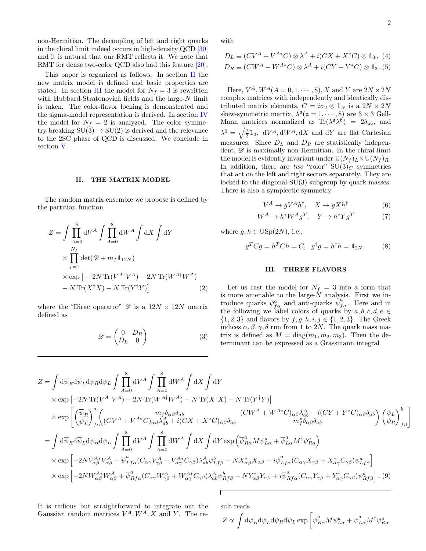2

non-Hermitian. The decoupling of left and right quarks in the chiral limit indeed occurs in high-density QCD [\[30\]](#page-7-19) and it is natural that our RMT reflects it. We note that RMT for dense two-color QCD also had this feature [\[20\]](#page-7-2).

This paper is organized as follows. In section [II](#page-1-0) the new matrix model is defined and basic properties are stated. In section [III](#page-1-1) the model for  $N_f = 3$  is rewritten with Hubbard-Stratonovich fields and the large-N limit is taken. The color-flavor locking is demonstrated and the sigma-model representation is derived. In section [IV](#page-4-0) the model for  $N_f = 2$  is analyzed. The color symmetry breaking  $SU(3) \rightarrow SU(2)$  is derived and the relevance to the 2SC phase of QCD is discussed. We conclude in section [V.](#page-6-13)

## <span id="page-1-0"></span>II. THE MATRIX MODEL

The random matrix ensemble we propose is defined by the partition function

$$
Z = \int \prod_{A=0}^{8} dV^A \int \prod_{A=0}^{8} dW^A \int dX \int dY
$$
  
 
$$
\times \prod_{f=1}^{N_f} \det(\mathcal{D} + m_f \mathbb{1}_{12N})
$$
  
 
$$
\times \exp \left[ -2N \operatorname{Tr} (V^{A\dagger} V^A) - 2N \operatorname{Tr} (W^{A\dagger} W^A) \right]
$$
  
 
$$
- N \operatorname{Tr} (X^{\dagger} X) - N \operatorname{Tr} (Y^{\dagger} Y) \right]
$$
 (2)

where the "Dirac operator"  $\mathscr{D}$  is a  $12N \times 12N$  matrix defined as

$$
\mathscr{D} = \begin{pmatrix} 0 & D_R \\ D_L & 0 \end{pmatrix} \tag{3}
$$

with

$$
D_L \equiv (CV^A + V^{A*}C) \otimes \lambda^A + i(CX + X^*C) \otimes 1_3, (4)
$$
  
\n
$$
D_R \equiv (CW^A + W^{A*}C) \otimes \lambda^A + i(CY + Y^*C) \otimes 1_3.
$$
 (5)

Here,  $V^A$ ,  $W^A(A = 0, 1, \dots, 8)$ , X and Y are  $2N \times 2N$ complex matrices with independently and identically distributed matrix elements,  $C = i\sigma_2 \otimes \mathbb{1}_N$  is a  $2N \times 2N$ skew-symmetric martix,  $\lambda^{\mathfrak{a}}(\mathfrak{a}=1,\cdots,8)$  are  $3\times 3$  Gell-Mann matrices normalized as  $\text{Tr}(\lambda^{\mathfrak{a}} \lambda^{\mathfrak{b}}) = 2\delta_{\mathfrak{a}\mathfrak{b}}$ , and  $\lambda^0 = \sqrt{\frac{2}{3}} 1_3$ . dV<sup>A</sup>, dW<sup>A</sup>, dX and dY are flat Cartesian measures. Since  $D_L$  and  $D_R$  are statistically independent,  $\mathscr D$  is maximally non-Hermitian. In the chiral limit the model is evidently invariant under  $U(N_f)_L \times U(N_f)_R$ . In addition, there are two "color"  $SU(3)<sub>C</sub>$  symmetries that act on the left and right sectors separately. They are locked to the diagonal SU(3) subgroup by quark masses. There is also a symplectic symmetry

$$
V^A \to gV^A h^\dagger, \quad X \to gX h^\dagger \tag{6}
$$

$$
W^A \to h^* W^A g^T, \quad Y \to h^* Y g^T \tag{7}
$$

where  $g, h \in \mathrm{USp}(2N)$ , i.e.,

$$
g^T C g = h^T C h = C, \quad g^{\dagger} g = h^{\dagger} h = \mathbb{1}_{2N}. \tag{8}
$$

#### <span id="page-1-1"></span>III. THREE FLAVORS

Let us cast the model for  $N_f = 3$  into a form that is more amenable to the large- $N$  analysis. First we introduce quarks  $\psi_{f\alpha}^a$  and anti-quarks  $\overline{\psi}_{f\alpha}^a$ . Here and in the following we label colors of quarks by  $a, b, c, d, e \in$  $\{1, 2, 3\}$  and flavors by  $f, g, h, i, j \in \{1, 2, 3\}$ . The Greek indices  $\alpha, \beta, \gamma, \delta$  run from 1 to 2N. The quark mass matrix is defined as  $M = \text{diag}(m_1, m_2, m_3)$ . Then the determinant can be expressed as a Grassmann integral

$$
Z = \int d\overline{\psi}_R d\overline{\psi}_L d\psi_R d\psi_L \int \prod_{A=0}^8 dV^A \int \prod_{A=0}^8 dW^A \int dX \int dY
$$
  
\n
$$
\times \exp \left[ -2N \operatorname{Tr}(V^{A\dagger}V^A) - 2N \operatorname{Tr}(W^{A\dagger}W^A) - N \operatorname{Tr}(X^{\dagger}X) - N \operatorname{Tr}(Y^{\dagger}Y) \right]
$$
  
\n
$$
\times \exp \left[ \left( \frac{\overline{\psi}_R}{\overline{\psi}_L} \right)_{f\alpha}^a \left( (CV^A + V^{A*}C)_{\alpha\beta} \lambda_{ab}^A + i(CX + X^*C)_{\alpha\beta} \delta_{ab} \right) \left( \left. (CV^A + W^{A*}C)_{\alpha\beta} \lambda_{ab}^A + i(CY + Y^*C)_{\alpha\beta} \delta_{ab} \right) \right( \psi_L \right)_{f\beta}^b
$$
  
\n
$$
= \int d\overline{\psi}_R d\overline{\psi}_L d\psi_R d\psi_L \int \prod_{A=0}^8 dV^A \int \prod_{A=0}^8 dW^A \int dX \int dY \exp \left( \overline{\psi}_{R\alpha}^a M \psi_{L\alpha}^a + \overline{\psi}_{L\alpha}^a M^{\dagger} \psi_{R\alpha}^a \right)
$$
  
\n
$$
\times \exp \left[ -2N V_{\alpha\beta}^{A*} V_{\alpha\beta}^A + \overline{\psi}_{Lf\alpha}^a (C_{\alpha\gamma} V_{\gamma\beta}^A + V_{\alpha\gamma}^{A*} C_{\gamma\beta}) \lambda_{ab}^A \psi_{Lf\beta}^b - N X_{\alpha\beta}^* X_{\alpha\beta} + i \overline{\psi}_{Lf\alpha}^a (C_{\alpha\gamma} X_{\gamma\beta} + X_{\alpha\gamma}^* C_{\gamma\beta}) \psi_{Lf\beta}^a \right]
$$
  
\n
$$
\times \exp \left[ -2N W_{\alpha\beta}^{A*} W_{\alpha\beta}^A + \overline{\psi}_{Rf\alpha}^a (C_{\alpha\gamma} W_{\gamma\beta}^A + W_{\alpha\gamma}^{A*} C_{\gamma\beta}) \lambda_{ab}^A \psi_{Rf\beta}^b - N Y
$$

It is tedious but straightforward to integrate out the Gaussian random matrices  $V^A$ ,  $W^A$ , X and Y. The result reads

$$
Z \propto \int \mathrm{d}\overline{\psi}_R \mathrm{d}\overline{\psi}_L \mathrm{d}\psi_R \mathrm{d}\psi_L \exp\left[\overline{\psi}_{R\alpha}^a M \psi_{L\alpha}^a + \overline{\psi}_{L\alpha}^a M^\dagger \psi_{R\alpha}^a\right]
$$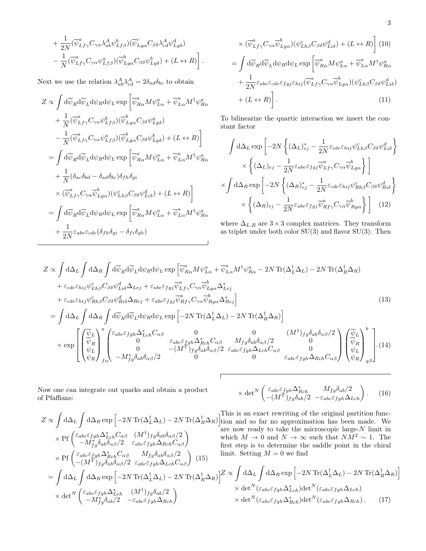+
$$
\frac{1}{2N}(\overline{\psi}_{Lf\gamma}^{a}C_{\gamma\alpha}\lambda_{ab}^{A}\psi_{Lf\beta}^{b})(\overline{\psi}_{Lg\alpha}^{c}C_{\beta\delta}\lambda_{cd}^{A}\psi_{Lg\delta}^{d})
$$

$$
-\frac{1}{N}(\overline{\psi}_{Lf\gamma}^{a}C_{\gamma\alpha}\psi_{Lf\beta}^{a})(\overline{\psi}_{Lg\alpha}^{b}C_{\beta\delta}\psi_{Lg\delta}^{b}) + (L \leftrightarrow R)\bigg].
$$

Next we use the relation  $\lambda_{ab}^A \lambda_{cd}^A = 2 \delta_{ad} \delta_{bc}$  to obtain

$$
Z \propto \int d\overline{\psi}_R d\overline{\psi}_L d\psi_R d\psi_L \exp \left[ \overline{\psi}_{R\alpha}^a M \psi_{L\alpha}^a + \overline{\psi}_{L\alpha}^a M^{\dagger} \psi_{R\alpha}^a \right. \\ \left. + \frac{1}{N} (\overline{\psi}_{Lf\gamma}^a C_{\gamma\alpha} \psi_{Lf\beta}^b)(\overline{\psi}_{Lg\alpha}^b C_{\beta\delta} \psi_{Lg\delta}^a) \right. \\ \left. - \frac{1}{N} (\overline{\psi}_{Lf\gamma}^a C_{\gamma\alpha} \psi_{Lf\beta}^a)(\overline{\psi}_{Lg\alpha}^b C_{\beta\delta} \psi_{Lg\delta}^b) + (L \leftrightarrow R) \right] \\ = \int d\overline{\psi}_R d\overline{\psi}_L d\psi_R d\psi_L \exp \left[ \overline{\psi}_{R\alpha}^a M \psi_{L\alpha}^a + \overline{\psi}_{L\alpha}^a M^{\dagger} \psi_{R\alpha}^a \right. \\ \left. + \frac{1}{N} (\delta_{ac}\delta_{bd} - \delta_{ad}\delta_{bc}) \delta_{fh}\delta_{gi} \right. \\ \left. \times (\overline{\psi}_{Lf\gamma}^a C_{\gamma\alpha} \overline{\psi}_{Lg\alpha}^b) (\psi_{Lh\beta}^c C_{\beta\delta} \psi_{Li\delta}^d) + (L \leftrightarrow R) \right] \\ = \int d\overline{\psi}_R d\overline{\psi}_L d\psi_R d\psi_L \exp \left[ \overline{\psi}_{R\alpha}^a M \psi_{L\alpha}^a + \overline{\psi}_{L\alpha}^a M^{\dagger} \psi_{R\alpha}^a \right. \\ \left. + \frac{1}{2N} \varepsilon_{abe} \varepsilon_{cde} (\delta_{fh}\delta_{gi} - \delta_{fi}\delta_{gh}) \right]
$$

<span id="page-2-1"></span><span id="page-2-0"></span>
$$
\times (\overline{\psi}_{Lf\gamma}^{a} C_{\gamma\alpha} \overline{\psi}_{Lg\alpha}^{b}) (\psi_{Lh\beta}^{c} C_{\beta\delta} \psi_{Li\delta}^{d}) + (L \leftrightarrow R) \Big] (10)
$$
  
= 
$$
\int d\overline{\psi}_{R} d\overline{\psi}_{L} d\psi_{R} d\psi_{L} \exp \Big[ \overline{\psi}_{R\alpha}^{a} M \psi_{L\alpha}^{a} + \overline{\psi}_{L\alpha}^{a} M^{\dagger} \psi_{R\alpha}^{a} + \frac{1}{2N} \varepsilon_{abe} \varepsilon_{cde} \varepsilon_{fgj} \varepsilon_{hij} (\overline{\psi}_{Lf\gamma}^{a} C_{\gamma\alpha} \overline{\psi}_{Lg\alpha}^{b}) (\psi_{Lh\beta}^{c} C_{\beta\delta} \psi_{Li\delta}^{d}) + (L \leftrightarrow R) \Big].
$$
  
(11)

To bilinearize the quartic interaction we insert the constant factor

$$
\int d\Delta_{L} \exp\left[-2N\left\{ (\Delta_{L})_{ej}^{*} - \frac{1}{2N} \varepsilon_{cde} \varepsilon_{hij} \psi_{Lh\beta}^{c} C_{\beta\delta} \psi_{Li\delta}^{d}\right\}\right] \times \left\{ (\Delta_{L})_{ej} - \frac{1}{2N} \varepsilon_{abe} \varepsilon_{fgj} \overline{\psi}_{Lf\gamma}^{a} C_{\gamma\alpha} \overline{\psi}_{Lg\alpha}^{b}\right\}\right] \times \int d\Delta_{R} \exp\left[-2N\left\{ (\Delta_{R})_{ej}^{*} - \frac{1}{2N} \varepsilon_{cde} \varepsilon_{hij} \psi_{Rh\beta}^{c} C_{\beta\delta} \psi_{Ri\delta}^{d}\right\}\right] \times \left\{ (\Delta_{R})_{ej} - \frac{1}{2N} \varepsilon_{abe} \varepsilon_{fgj} \overline{\psi}_{Rf\gamma}^{a} C_{\gamma\alpha} \overline{\psi}_{Rg\alpha}^{b}\right\}\right] (12)
$$

where  $\Delta_{L,R}$  are 3 × 3 complex matrices. They transform as triplet under both color SU(3) and flavor SU(3). Then

$$
Z \propto \int d\Delta_L \int d\Delta_R \int d\overline{\psi}_R d\overline{\psi}_L d\psi_R d\psi_L \exp \left[ \overline{\psi}_{R\alpha}^a M \psi_{L\alpha}^a + \overline{\psi}_{L\alpha}^a M^\dagger \psi_{R\alpha}^a - 2N \operatorname{Tr}(\Delta_L^\dagger \Delta_L) - 2N \operatorname{Tr}(\Delta_R^\dagger \Delta_R) \right. \\ \left. + \varepsilon_{cde} \varepsilon_{hij} \psi_{Lh\beta}^c C_{\beta\delta} \psi_{Li\delta}^d \Delta_{Lej} + \varepsilon_{abe} \varepsilon_{fgj} \overline{\psi}_{Lf\gamma}^a C_{\gamma\alpha} \overline{\psi}_{Lg\alpha}^b \Delta_{Lej}^* \\ \left. + \varepsilon_{cde} \varepsilon_{hij} \psi_{Rh\beta}^c C_{\beta\delta} \psi_{Ri\delta}^d \Delta_{Rej} + \varepsilon_{abe} \varepsilon_{fgj} \overline{\psi}_{Rf\gamma}^a C_{\gamma\alpha} \overline{\psi}_{Rg\alpha}^b \Delta_{Rej}^* \right] \tag{13}
$$
\n
$$
= \int d\Delta_L \int d\Delta_R \int d\overline{\psi}_R d\overline{\psi}_L d\psi_R d\psi_L \exp \left[ -2N \operatorname{Tr}(\Delta_L^\dagger \Delta_L) - 2N \operatorname{Tr}(\Delta_R^\dagger \Delta_R) \right] \\ \times \exp \left[ \begin{pmatrix} \overline{\psi}_L \\ \overline{\psi}_R \\ \overline{\psi}_L \\ \overline{\psi}_L \end{pmatrix}^a \begin{pmatrix} \varepsilon_{abc} \varepsilon_{fgh} \Delta_{Lch}^* C_{\alpha\beta} & 0 & (M^\dagger)_{fg} \delta_{ab} \delta_{\alpha\beta} / 2 \\ 0 & \varepsilon_{abc} \varepsilon_{fgh} \Delta_{Rch}^* C_{\alpha\beta} & M_{fg} \delta_{ab} \delta_{\alpha\beta} / 2 & 0 \\ 0 & -(M^T)_{fg} \delta_{ab} \delta_{\alpha\beta} / 2 & \varepsilon_{abe} \varepsilon_{fgh} \Delta_{Lch} C_{\alpha\beta} & 0 \\ 0 & \varepsilon_{abc} \varepsilon_{fgh} \Delta_{Rch} C_{\alpha\beta} \end{pmatrix} \begin{pmatrix} \overline{\psi}_L \\ \overline{\psi}_R \\ \
$$

 $\sqrt{2}$ 

Now one can integrate out quarks and obtain a product of Pfaffians:

$$
\times \det^N \begin{pmatrix} \varepsilon_{abc} \varepsilon_{fgh} \Delta_{Rch}^* & M_{fg} \delta_{ab}/2 \\ -(M^T)_{fg} \delta_{ab}/2 & -\varepsilon_{abc} \varepsilon_{fgh} \Delta_{Lch} \end{pmatrix} . \tag{16}
$$

$$
Z \propto \int d\Delta_L \int d\Delta_R \exp \left[ -2N \operatorname{Tr}(\Delta_L^{\dagger} \Delta_L) - 2N \operatorname{Tr}(\Delta_R^{\dagger} \Delta_R) \right]_{\text{tion and}}^{\text{I this is an}}
$$
  
\n
$$
\times \operatorname{Pf} \left( \frac{\varepsilon_{abc} \varepsilon_{fgh} \Delta_{Lch}^* C_{\alpha\beta} (M^{\dagger})_{fg} \delta_{ab} \delta_{\alpha\beta}/2}{-M_{fg}^* \delta_{ab} \delta_{\alpha\beta}/2} \right) \qquad \text{which } M
$$
  
\n
$$
\times \operatorname{Pf} \left( \frac{\varepsilon_{abc} \varepsilon_{fgh} \Delta_{Rch}^* C_{\alpha\beta} (M^{\dagger})_{fg} \delta_{ab} \delta_{\alpha\beta}/2}{-(M^T)_{fg} \delta_{ab} \delta_{\alpha\beta}/2} \right)_{\text{limit. Set}}
$$
  
\n
$$
= \int d\Delta_L \int d\Delta_R \exp \left[ -2N \operatorname{Tr}(\Delta_L^{\dagger} \Delta_L) - 2N \operatorname{Tr}(\Delta_R^{\dagger} \Delta_R) \right]^{Z} \propto \int d\Delta_R
$$
  
\n
$$
\times \operatorname{det}^N \left( \frac{\varepsilon_{abc} \varepsilon_{fgh} \Delta_{Lch}^* (M^{\dagger})_{fg} \delta_{ab}/2}{-M_{fg}^* \delta_{ab}/2} \right) \times \operatorname{det}
$$
  
\n
$$
\times \operatorname{det}^N \left( \frac{\varepsilon_{abc} \varepsilon_{fgh} \Delta_{Lch}^* (M^{\dagger})_{fg} \delta_{ab}/2}{-M_{fg}^* \delta_{ab}/2} \right) \times \operatorname{det}
$$
  
\n
$$
\times \operatorname{det}^N \left( \frac{\varepsilon_{abc} \varepsilon_{fgh} \Delta_{Lch}^* (M^{\dagger})_{fg} \delta_{ab}/2}{-M_{fg}^* \delta_{ab}/2} \right) \times \operatorname{det}
$$

This is an exact rewriting of the original partition funcso far no approximation has been made. We ready to take the microscopic large- $N$  limit in  $\rightarrow 0$  and  $N \rightarrow \infty$  such that  $NM^2 \sim 1$ . The is to determine the saddle point in the chiral tting  $M = 0$  we find

$$
\left[\frac{1}{R}\Delta_R\right]Z \propto \int d\Delta_L \int d\Delta_R \exp\left[-2N \operatorname{Tr}(\Delta_L^{\dagger} \Delta_L) - 2N \operatorname{Tr}(\Delta_R^{\dagger} \Delta_R)\right] \times \det^N(\varepsilon_{abc}\varepsilon_{fgh}\Delta_{Lch}^*) \det^N(\varepsilon_{abc}\varepsilon_{fgh}\Delta_{Lch}) \times \det^N(\varepsilon_{abc}\varepsilon_{fgh}\Delta_{Rch}^*) \det^N(\varepsilon_{abc}\varepsilon_{fgh}\Delta_{Rch} ).
$$
 (17)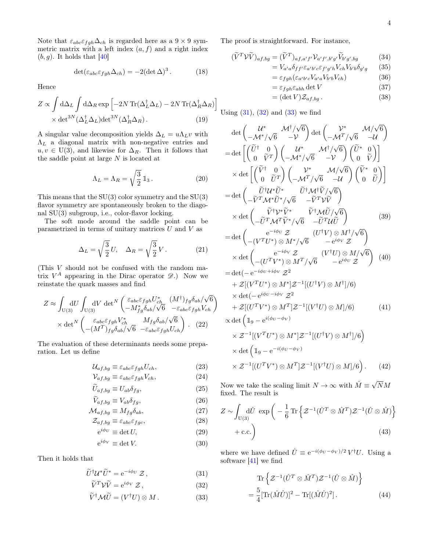Note that  $\varepsilon_{abc}\varepsilon_{fgh}\Delta_{ch}$  is regarded here as a  $9 \times 9$  symmetric matrix with a left index  $(a, f)$  and a right index  $(b, g)$ . It holds that [\[40\]](#page-7-20)

$$
\det(\varepsilon_{abc}\varepsilon_{fgh}\Delta_{ch}) = -2(\det \Delta)^3.
$$
 (18)

Hence

$$
Z \propto \int d\Delta_L \int d\Delta_R \exp\left[-2N \operatorname{Tr}(\Delta_L^{\dagger} \Delta_L) - 2N \operatorname{Tr}(\Delta_R^{\dagger} \Delta_R)\right] \times \det^{3N}(\Delta_L^{\dagger} \Delta_L) \det^{3N}(\Delta_R^{\dagger} \Delta_R).
$$
 (19)

A singular value decomposition yields  $\Delta_L = u \Lambda_L v$  with  $\Lambda_L$  a diagonal matrix with non-negative entries and  $u, v \in U(3)$ , and likewise for  $\Delta_R$ . Then it follows that the saddle point at large  $N$  is located at

$$
\Lambda_L = \Lambda_R = \sqrt{\frac{3}{2}} \mathbb{1}_3. \tag{20}
$$

This means that the  $SU(3)$  color symmetry and the  $SU(3)$ flavor symmetry are spontaneously broken to the diagonal SU(3) subgroup, i.e., color-flavor locking.

The soft mode around the saddle point can be parametrized in terms of unitary matrices  $U$  and  $V$  as

$$
\Delta_L = \sqrt{\frac{3}{2}} U, \quad \Delta_R = \sqrt{\frac{3}{2}} V. \tag{21}
$$

(This V should not be confused with the random matrix  $V^A$  appearing in the Dirac operator  $\mathscr{D}$ .) Now we reinstate the quark masses and find

$$
Z \approx \int_{U(3)} dU \int_{U(3)} dV \det^{N} \begin{pmatrix} \varepsilon_{abc} \varepsilon_{fgh} U_{ch}^{*} & (M^{\dagger})_{fg} \delta_{ab} / \sqrt{6} \\ -M_{fg}^{*} \delta_{ab} / \sqrt{6} & -\varepsilon_{abc} \varepsilon_{fgh} V_{ch} \end{pmatrix}
$$

$$
\times \det^{N} \begin{pmatrix} \varepsilon_{abc} \varepsilon_{fgh} V_{ch}^{*} & M_{fg} \delta_{ab} / \sqrt{6} \\ -(M^{T})_{fg} \delta_{ab} / \sqrt{6} & -\varepsilon_{abc} \varepsilon_{fgh} U_{ch} \end{pmatrix} . (22)
$$

The evaluation of these determinants needs some preparation. Let us define

$$
\mathcal{U}_{af,bg} \equiv \varepsilon_{abc} \varepsilon_{fgh} U_{ch},\tag{23}
$$

$$
\mathcal{V}_{af,bg} \equiv \varepsilon_{abc} \varepsilon_{fgh} V_{ch},\tag{24}
$$

$$
U_{af,bg} \equiv U_{ab}\delta_{fg},\tag{25}
$$

$$
V_{af,bg} \equiv V_{ab}\delta_{fg},\tag{26}
$$

$$
\mathcal{M}_{af,bg} \equiv M_{fg}\delta_{ab},\tag{27}
$$

$$
\mathcal{Z}_{af,bg} \equiv \varepsilon_{abc} \varepsilon_{fgc},\tag{28}
$$

$$
e^{i\phi_U} \equiv \det U,\tag{29}
$$

$$
e^{i\phi V} \equiv \det V. \tag{30}
$$

Then it holds that

$$
\widetilde{U}^{\dagger}U^*\widetilde{U}^* = e^{-i\phi_U} \mathcal{Z},\qquad(31)
$$

$$
\widetilde{V}^T \mathcal{V} \widetilde{V} = e^{i\phi_V} \mathcal{Z}, \qquad (32)
$$

$$
\widetilde{V}^{\dagger} \mathcal{M} \widetilde{U} = (V^{\dagger} U) \otimes M. \tag{33}
$$

The proof is straightforward. For instance,

$$
(\widetilde{V}^T \mathcal{V} \widetilde{V})_{af,bg} = (\widetilde{V}^T)_{af,a'f'} \mathcal{V}_{a'f',b'g'} \widetilde{V}_{b'g',bg}
$$
(34)  

$$
= V_{a'a} \delta_{ff'} \varepsilon_{a'b'c} \varepsilon_{f'g'h} V_{ch} V_{b'b} \delta_{g'g}
$$
(35)

$$
= \varepsilon_{fgh}(\varepsilon_{a'b'c}V_{a'a}V_{b'b}V_{ch})
$$
 (36)

$$
= \varepsilon_{fgh}\varepsilon_{abh} \det V \tag{37}
$$

$$
= (\det V) \mathcal{Z}_{af,bg} . \tag{38}
$$

Using  $(31)$ ,  $(32)$  and  $(33)$  we find

i

$$
\det \begin{pmatrix} \mathcal{U}^* & \mathcal{M}^{\dagger}/\sqrt{6} \\ -\mathcal{M}^*/\sqrt{6} & -\mathcal{V} \end{pmatrix} \det \begin{pmatrix} \mathcal{V}^* & \mathcal{M}/\sqrt{6} \\ -\mathcal{M}^T/\sqrt{6} & -\mathcal{U} \end{pmatrix}
$$
\n
$$
= \det \begin{bmatrix} (\tilde{U}^{\dagger} & 0 \\ 0 & \tilde{V}^T \end{bmatrix} \begin{pmatrix} \mathcal{U}^* & \mathcal{M}^{\dagger}/\sqrt{6} \\ -\mathcal{M}^*/\sqrt{6} & -\mathcal{V} \end{pmatrix} \begin{pmatrix} \tilde{U}^* & 0 \\ 0 & \tilde{V} \end{pmatrix} \end{pmatrix}
$$
\n
$$
\times \det \begin{bmatrix} (\tilde{V}^{\dagger} & 0 \\ 0 & \tilde{U}^T \end{bmatrix} \begin{pmatrix} \mathcal{V}^* & \mathcal{M}/\sqrt{6} \\ -\mathcal{M}^T/\sqrt{6} & -\mathcal{U} \end{pmatrix} \begin{pmatrix} \tilde{V}^* & 0 \\ 0 & \tilde{U} \end{pmatrix} \end{bmatrix}
$$
\n
$$
= \det \begin{pmatrix} \tilde{U}^{\dagger} \mathcal{U}^* \tilde{U}^* & \tilde{U}^{\dagger} \mathcal{M}^{\dagger} \tilde{V}/\sqrt{6} \\ -\tilde{V}^T \mathcal{M}^* \tilde{U}^* / \sqrt{6} & -\tilde{V}^T \mathcal{V} \tilde{V} \end{pmatrix} \begin{pmatrix} 39 \\ 0 \end{pmatrix}
$$
\n
$$
= \det \begin{pmatrix} e^{-i\phi_U} & \mathcal{Z} & (U^{\dagger}V) \otimes M^{\dagger}/\sqrt{6} \\ -\left(V^T U^*) \otimes M^* / \sqrt{6} & -e^{i\phi_V} \mathcal{Z} \end{pmatrix} \begin{pmatrix} 39 \\ -\left(V^T U^*) \otimes M^T / \sqrt{6} & -e^{i\phi_V} \mathcal{Z} \end{pmatrix} \right) \begin{pmatrix} 40 \\ -\left(V^T U^*) \otimes M^T / \sqrt{6} & -e^{i\
$$

Now we take the scaling limit  $N \to \infty$  with  $\hat{M} \equiv \sqrt{3}$ NM fixed. The result is

$$
Z \sim \int_{U(3)} d\hat{U} \exp\left(-\frac{1}{6} \operatorname{Tr} \left\{ \mathcal{Z}^{-1} (\hat{U}^T \otimes \hat{M}^T) \mathcal{Z}^{-1} (\hat{U} \otimes \hat{M}) \right\} + \text{c.c.} \right)
$$
(43)

<span id="page-3-2"></span><span id="page-3-1"></span><span id="page-3-0"></span>where we have defined  $\hat{U} \equiv e^{-i(\phi_U - \phi_V)/2} V^{\dagger} U$ . Using a software [\[41\]](#page-7-21) we find

<span id="page-3-3"></span>
$$
\operatorname{Tr}\left\{ \mathcal{Z}^{-1}(\hat{U}^T \otimes \hat{M}^T) \mathcal{Z}^{-1}(\hat{U} \otimes \hat{M}) \right\}
$$

$$
= \frac{5}{4} [\operatorname{Tr}(\hat{M}\hat{U})]^2 - \operatorname{Tr}[(\hat{M}\hat{U})^2]. \tag{44}
$$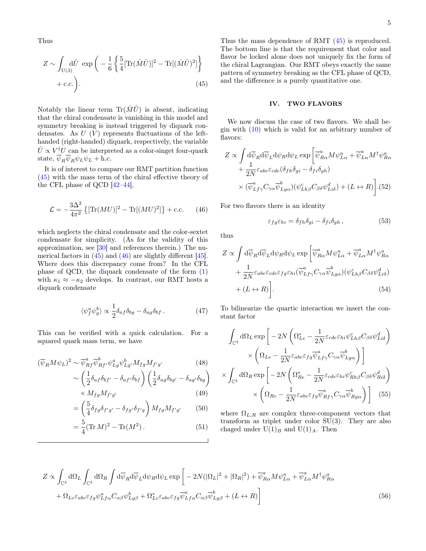Thus

$$
Z \sim \int_{\mathcal{U}(3)} d\hat{U} \exp\left(-\frac{1}{6} \left\{ \frac{5}{4} [\text{Tr}(\hat{M}\hat{U})]^2 - \text{Tr}[(\hat{M}\hat{U})^2] \right\} + \text{c.c.} \right).
$$
\n(45)

Notably the linear term  $\text{Tr}(\hat{M}\hat{U})$  is absent, indicating that the chiral condensate is vanishing in this model and symmetry breaking is instead triggered by diquark condensates. As  $U(V)$  represents fluctuations of the lefthanded (right-handed) diquark, respectively, the variable  $\hat{U} \propto V^{\dagger} U$  can be interpreted as a color-singet four-quark state,  $\overline{\psi}_R \overline{\psi}_R \psi_L \psi_L + \text{h.c.}$ 

It is of interest to compare our RMT partition function [\(45\)](#page-4-1) with the mass term of the chiral effective theory of the CFL phase of QCD [\[42–](#page-7-22)[44\]](#page-7-23),

$$
\mathcal{L} = -\frac{3\Delta^2}{4\pi^2} \left\{ [\text{Tr}(MU)]^2 - \text{Tr}[(MU)^2] \right\} + \text{c.c.}
$$
 (46)

which neglects the chiral condensate and the color-sextet condensate for simplicity. (As for the validity of this approximation, see [\[30\]](#page-7-19) and references therein.) The numerical factors in  $(45)$  and  $(46)$  are slightly different  $[45]$ . Where does this discrepancy come from? In the CFL phase of QCD, the diquark condensate of the form [\(1\)](#page-0-0) with  $\kappa_1 \approx -\kappa_2$  develops. In contrast, our RMT hosts a diquark condensate

$$
\langle \psi_f^a \psi_g^b \rangle \propto \frac{1}{2} \delta_{af} \delta_{bg} - \delta_{ag} \delta_{bf} \,. \tag{47}
$$

This can be verified with a quick calculation. For a squared quark mass term, we have

$$
(\overline{\psi}_R M \psi_L)^2 \sim \overline{\psi}_{Rf}^a \overline{\psi}_{Rf'}^b \psi_{Lg}^a \psi_{Lg'}^b M_{fg} M_{f'g'}
$$
\n
$$
(48)
$$
\n
$$
\left(1 \atop S \atop \text{S} \right) \left(1 \atop \text{S} \right) \left(1 \atop \text{S} \right) \left(1 \atop \text{S} \right)
$$

$$
\sim \left(\frac{1}{2}\delta_{af}\delta_{bf'} - \delta_{af'}\delta_{bf}\right) \left(\frac{1}{2}\delta_{ag}\delta_{bg'} - \delta_{ag'}\delta_{bg}\right) \times M_{fg}M_{f'g'} \tag{49}
$$

$$
= \left(\frac{5}{4}\delta_{fg}\delta_{f'g'} - \delta_{fg'}\delta_{f'g}\right)M_{fg}M_{f'g'} \tag{50}
$$

$$
= \left(\frac{3}{4}\delta_{fg}\delta_{f'g'} - \delta_{fg'}\delta_{f'g}\right)M_{fg}M_{f'g'} \tag{50}
$$

$$
= \frac{3}{4} (\text{Tr} \, M)^2 - \text{Tr} (M^2). \tag{51}
$$

<span id="page-4-1"></span>Thus the mass dependence of RMT [\(45\)](#page-4-1) is reproduced. The bottom line is that the requirement that color and flavor be locked alone does not uniquely fix the form of the chiral Lagrangian. Our RMT obeys exactly the same pattern of symmetry breaking as the CFL phase of QCD, and the difference is a purely quantitative one.

### <span id="page-4-0"></span>IV. TWO FLAVORS

We now discuss the case of two flavors. We shall begin with  $(10)$  which is valid for an arbitrary number of flavors:

$$
Z \propto \int d\overline{\psi}_R d\overline{\psi}_L d\psi_R d\psi_L \exp\left[\overline{\psi}^a_{R\alpha} M \psi^a_{L\alpha} + \overline{\psi}^a_{L\alpha} M^{\dagger} \psi^a_{R\alpha}\right] + \frac{1}{2N} \varepsilon_{abe} \varepsilon_{cde} (\delta_{fh} \delta_{gi} - \delta_{fi} \delta_{gh})
$$

$$
\times (\overline{\psi}^a_{Lf\gamma} C_{\gamma\alpha} \overline{\psi}^b_{Lg\alpha}) (\psi^c_{Lh\beta} C_{\beta\delta} \psi^d_{Li\delta}) + (L \leftrightarrow R) \Big].
$$
 (52)

<span id="page-4-2"></span>For two flavors there is an identity

$$
\varepsilon_{fg}\varepsilon_{hi} = \delta_{fh}\delta_{gi} - \delta_{fi}\delta_{gh} , \qquad (53)
$$

thus

$$
Z \propto \int d\overline{\psi}_R d\overline{\psi}_L d\psi_R d\psi_L \exp\left[\overline{\psi}^a_{R\alpha} M \psi^a_{L\alpha} + \overline{\psi}^a_{L\alpha} M^{\dagger} \psi^a_{R\alpha}\right] + \frac{1}{2N} \varepsilon_{abe} \varepsilon_{cde} \varepsilon_{fg} \varepsilon_{hi} (\overline{\psi}^a_{Lf\gamma} C_{\gamma\alpha} \overline{\psi}^b_{Lg\alpha}) (\psi^c_{Lh\beta} C_{\beta\delta} \psi^d_{Li\delta}) + (L \leftrightarrow R) \right].
$$
\n(54)

To bilinearize the quartic interaction we insert the constant factor

$$
\int_{\mathbb{C}^3} d\Omega_L \exp \left[ -2N \left( \Omega_{Le}^* - \frac{1}{2N} \varepsilon_{cde} \varepsilon_{hi} \psi_{Lh\beta}^c C_{\beta \delta} \psi_{Li\delta}^d \right) \right. \times \left. \left( \Omega_{Le} - \frac{1}{2N} \varepsilon_{abe} \varepsilon_{fg} \overline{\psi}_{Lf\gamma}^a C_{\gamma \alpha} \overline{\psi}_{Lg\alpha}^b \right) \right] \times \int_{\mathbb{C}^3} d\Omega_R \exp \left[ -2N \left( \Omega_{Re}^* - \frac{1}{2N} \varepsilon_{cde} \varepsilon_{hi} \psi_{Rh\beta}^c C_{\beta \delta} \psi_{Ri\delta}^d \right) \right. \times \left. \left( \Omega_{Re} - \frac{1}{2N} \varepsilon_{abe} \varepsilon_{fg} \overline{\psi}_{Rf\gamma}^a C_{\gamma \alpha} \overline{\psi}_{Rg\alpha}^b \right) \right] \tag{55}
$$

where  $\Omega_{L,R}$  are complex three-component vectors that transform as triplet under color SU(3). They are also chaged under  $U(1)_B$  and  $U(1)_A$ . Then

$$
Z \propto \int_{\mathbb{C}^3} d\Omega_L \int_{\mathbb{C}^3} d\Omega_R \int d\overline{\psi}_R d\overline{\psi}_L d\psi_R d\psi_L \exp\left[ -2N(|\Omega_L|^2 + |\Omega_R|^2) + \overline{\psi}_{R\alpha}^a M \psi_{L\alpha}^a + \overline{\psi}_{L\alpha}^a M^{\dagger} \psi_{R\alpha}^a \right. \\ \left. + \Omega_{Lc} \varepsilon_{abc} \varepsilon_{fg} \psi_{Lf\alpha}^a C_{\alpha\beta} \psi_{Lg\beta}^b + \Omega_{Lc}^* \varepsilon_{abc} \varepsilon_{fg} \overline{\psi}_{Lf\alpha}^a C_{\alpha\beta} \overline{\psi}_{Lg\beta}^b + (L \leftrightarrow R) \right] \tag{56}
$$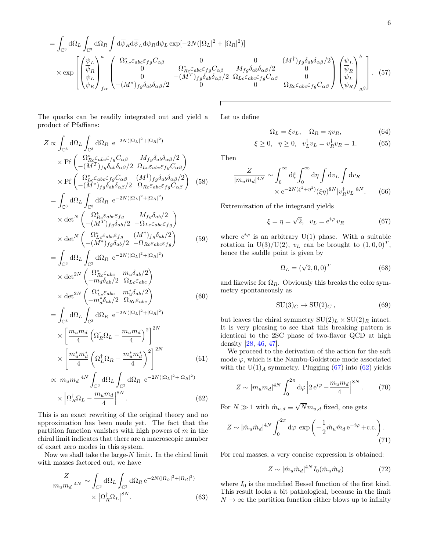$$
= \int_{\mathbb{C}^3} d\Omega_L \int_{\mathbb{C}^3} d\Omega_R \int d\overline{\psi}_R d\overline{\psi}_L d\psi_R d\psi_L \exp[-2N(|\Omega_L|^2 + |\Omega_R|^2)]
$$
  
\n
$$
\times \exp \left[ \begin{pmatrix} \overline{\psi}_L \\ \overline{\psi}_R \\ \psi_L \\ \psi_R \end{pmatrix}^a \begin{pmatrix} \Omega_{Lc}^* \varepsilon_{abc} \varepsilon_{fg} C_{\alpha\beta} & 0 & 0 & (M^{\dagger})_{fg} \delta_{ab} \delta_{\alpha\beta}/2 \\ 0 & \Omega_{Rc}^* \varepsilon_{abc} \varepsilon_{fg} C_{\alpha\beta} & M_{fg} \delta_{ab} \delta_{\alpha\beta}/2 & 0 \\ 0 & -(M^T)_{fg} \delta_{ab} \delta_{\alpha\beta}/2 & \Omega_{Lc} \varepsilon_{abc} \varepsilon_{fg} C_{\alpha\beta} & 0 \\ 0 & 0 & \Omega_{Rc} \varepsilon_{abc} \varepsilon_{fg} C_{\alpha\beta} \end{pmatrix} \begin{pmatrix} \overline{\psi}_L \\ \overline{\psi}_R \\ \psi_L \\ \psi_L \\ \psi_R \end{pmatrix}_{g\beta} \right].
$$
 (57)

The quarks can be readily integrated out and yield a product of Pfaffians:

$$
Z \propto \int_{\mathbb{C}^3} d\Omega_L \int_{\mathbb{C}^3} d\Omega_R e^{-2N(|\Omega_L|^2 + |\Omega_R|^2)} \times \text{Pf} \left( \frac{\Omega_{Rc}^* \varepsilon_{abc} \varepsilon_{fg} C_{\alpha\beta}}{-(M^T)_{fg} \delta_{ab} \delta_{\alpha\beta}} / 2 \right) \times \text{Pf} \left( \frac{\Omega_{Lc}^* \varepsilon_{abc} \varepsilon_{fg} C_{\alpha\beta}}{-(M^T)_{fg} \delta_{ab} \delta_{\alpha\beta}} / 2 \right) \times \text{Pf} \left( \frac{\Omega_{Lc}^* \varepsilon_{abc} \varepsilon_{fg} C_{\alpha\beta}}{-(M^*)_{fg} \delta_{ab} \delta_{\alpha\beta}} / 2 \right) \left( \frac{\Omega_{Rc}^* \varepsilon_{abc} \varepsilon_{fg} C_{\alpha\beta}}{(\Omega_L \int_{\mathbb{C}^3} d\Omega_R e^{-2N(|\Omega_L|^2 + |\Omega_R|^2)} \right) \times \det^N \left( \frac{\Omega_{Rc}^* \varepsilon_{abc} \varepsilon_{fg}}{-(M^T)_{fg} \delta_{ab} / 2} - \Omega_{Lc} \varepsilon_{abc} \varepsilon_{fg} \right) \times \det^N \left( \frac{\Omega_{Lc}^* \varepsilon_{abc} \varepsilon_{fg}}{-(M^*)_{fg} \delta_{ab} / 2} - \Omega_{Rc} \varepsilon_{abc} \varepsilon_{fg} \right) \times \det^N \left( \frac{\Omega_{Lc}^* \varepsilon_{abc} \varepsilon_{fg}}{-(M^*)_{fg} \delta_{ab} / 2} - \Omega_{Rc} \varepsilon_{abc} \varepsilon_{fg} \right) \quad (59)
$$
  
= 
$$
\int d\Omega_L \int d\Omega_R e^{-2N(|\Omega_L|^2 + |\Omega_R|^2)}
$$

$$
= \int_{\mathbb{C}^3} d\Omega_L \int_{\mathbb{C}^3} d\Omega_R e^{-2N(|\Omega_L|^2 + |\Omega_R|^2)}
$$
  
 
$$
\times \det^{2N} \begin{pmatrix} \Omega_{Rc}^* \varepsilon_{abc} & m_u \delta_{ab}/2\\ -m_d \delta_{ab}/2 & \Omega_{Lc} \varepsilon_{abc} \end{pmatrix}
$$
  
 
$$
\times \det^{2N} \begin{pmatrix} \Omega_{Lc}^* \varepsilon_{abc} & m_u^* \delta_{ab}/2\\ -m_d^* \delta_{ab}/2 & \Omega_{Rc} \varepsilon_{abc} \end{pmatrix}
$$
  
(60)

$$
= \int_{\mathbb{C}^3} d\Omega_L \int_{\mathbb{C}^3} d\Omega_R e^{-2N(|\Omega_L|^2 + |\Omega_R|^2)}
$$

$$
\times \left[ \frac{m_u m_d}{4} \left( \Omega_R^{\dagger} \Omega_L - \frac{m_u m_d}{4} \right)^2 \right]^{2N}
$$

$$
\times \left[ \frac{m_u^* m_d^*}{4} \left( \Omega_L^{\dagger} \Omega_R - \frac{m_u^* m_d^*}{4} \right)^2 \right]^{2N} \tag{61}
$$

$$
\times |m_u m_d|^{4N} \int d\Omega_L \int d\Omega_R e^{-2N(|\Omega_L|^2 + |\Omega_R|^2)}
$$

$$
\propto |m_u m_d|^{4N} \int_{\mathbb{C}^3} d\Omega_L \int_{\mathbb{C}^3} d\Omega_R e^{-2N(|\Omega_L|^2 + |\Omega_R|^2)} \times |\Omega_R^{\dagger} \Omega_L - \frac{m_u m_d}{4}|^{8N}.
$$
\n(62)

This is an exact rewriting of the original theory and no approximation has been made yet. The fact that the partition function vanishes with high powers of  $m$  in the chiral limit indicates that there are a macroscopic number of exact zero modes in this system.

Now we shall take the large- $N$  limit. In the chiral limit with masses factored out, we have

$$
\frac{Z}{|m_u m_d|^{4N}} \sim \int_{\mathbb{C}^3} d\Omega_L \int_{\mathbb{C}^3} d\Omega_R e^{-2N(|\Omega_L|^2 + |\Omega_R|^2)}
$$

$$
\times |\Omega_R^{\dagger} \Omega_L|^{8N}.
$$
(63)

Let us define

$$
\Omega_L = \xi v_L, \quad \Omega_R = \eta v_R,\tag{64}
$$

$$
\xi \ge 0, \ \ \eta \ge 0, \ \ v_L^{\dagger} v_L = v_R^{\dagger} v_R = 1.
$$
 (65)

Then

$$
\frac{Z}{|m_u m_d|^{4N}} \sim \int_0^\infty d\xi \int_0^\infty d\eta \int dv_L \int dv_R
$$

$$
\times e^{-2N(\xi^2 + \eta^2)} (\xi \eta)^{8N} |v_R^{\dagger} v_L|^{8N}.
$$
 (66)

Extremization of the integrand yields

$$
\xi = \eta = \sqrt{2}, \quad v_L = e^{i\varphi} v_R \tag{67}
$$

where  $e^{i\varphi}$  is an arbitrary U(1) phase. With a suitable rotation in U(3)/U(2),  $v_L$  can be brought to  $(1,0,0)^T$ , hence the saddle point is given by

<span id="page-5-0"></span>
$$
\Omega_L = (\sqrt{2}, 0, 0)^T \tag{68}
$$

and likewise for  $\Omega_R$ . Obviously this breaks the color symmetry spontaneously as

$$
SU(3)_C \to SU(2)_C, \tag{69}
$$

but leaves the chiral symmetry  $SU(2)_L \times SU(2)_R$  intact. It is very pleasing to see that this breaking pattern is identical to the 2SC phase of two-flavor QCD at high density [\[28,](#page-7-9) [46,](#page-7-25) [47\]](#page-7-26).

We proceed to the derivation of the action for the soft mode  $\varphi$ , which is the Nambu-Goldstone mode associated with the  $U(1)_A$  symmetry. Plugging [\(67\)](#page-5-0) into [\(62\)](#page-5-1) yields

$$
Z \sim |m_u m_d|^{4N} \int_0^{2\pi} d\varphi \left| 2 e^{i\varphi} - \frac{m_u m_d}{4} \right|^{8N} . \tag{70}
$$

<span id="page-5-1"></span>For  $N \gg 1$  with  $\hat{m}_{u,d} \equiv$ √  $Nm_{u,d}$  fixed, one gets

$$
Z \sim |\hat{m}_u \hat{m}_d|^{4N} \int_0^{2\pi} d\varphi \exp\left(-\frac{1}{2} \hat{m}_u \hat{m}_d e^{-i\varphi} + \text{c.c.}\right). \tag{71}
$$

For real masses, a very concise expression is obtained:

$$
Z \sim |\hat{m}_u \hat{m}_d|^{4N} I_0(\hat{m}_u \hat{m}_d) \tag{72}
$$

where  $I_0$  is the modified Bessel function of the first kind. This result looks a bit pathological, because in the limit  $N \to \infty$  the partition function either blows up to infinity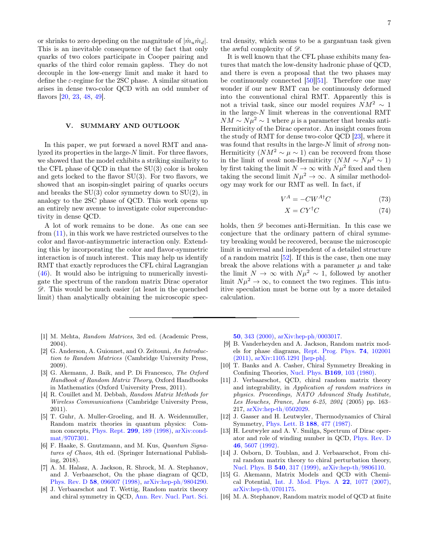or shrinks to zero depeding on the magnitude of  $|\hat{m}_u \hat{m}_d|$ . This is an inevitable consequence of the fact that only quarks of two colors participate in Cooper pairing and quarks of the third color remain gapless. They do not decouple in the low-energy limit and make it hard to define the  $\varepsilon$ -regime for the 2SC phase. A similar situation arises in dense two-color QCD with an odd number of flavors [\[20,](#page-7-2) [23,](#page-7-4) [48,](#page-7-27) [49\]](#page-7-28).

## <span id="page-6-13"></span>V. SUMMARY AND OUTLOOK

In this paper, we put forward a novel RMT and analyzed its properties in the large-N limit. For three flavors, we showed that the model exhibits a striking similarity to the CFL phase of QCD in that the SU(3) color is broken and gets locked to the flavor SU(3). For two flavors, we showed that an isospin-singlet pairing of quarks occurs and breaks the  $SU(3)$  color symmetry down to  $SU(2)$ , in analogy to the 2SC phase of QCD. This work opens up an entirely new avenue to investigate color superconductivity in dense QCD.

A lot of work remains to be done. As one can see from [\(11\)](#page-2-1), in this work we have restricted ourselves to the color and flavor-antisymmetric interaction only. Extending this by incorporating the color and flavor-symmetric interaction is of much interest. This may help us identify RMT that exactly reproduces the CFL chiral Lagrangian [\(46\)](#page-4-2). It would also be intriguing to numerically investigate the spectrum of the random matrix Dirac operator  $\mathscr{D}$ . This would be much easier (at least in the quenched limit) than analytically obtaining the microscopic spec-

- <span id="page-6-0"></span>[1] M. Mehta, Random Matrices, 3rd ed. (Academic Press, 2004).
- [2] G. Anderson, A. Guionnet, and O. Zeitouni, An Introduction to Random Matrices (Cambridge University Press, 2009).
- [3] G. Akemann, J. Baik, and P. Di Francesco, The Oxford Handbook of Random Matrix Theory, Oxford Handbooks in Mathematics (Oxford University Press, 2011).
- <span id="page-6-1"></span>[4] R. Couillet and M. Debbah, Random Matrix Methods for Wireless Communications (Cambridge University Press, 2011).
- <span id="page-6-2"></span>[5] T. Guhr, A. Muller-Groeling, and H. A. Weidenmuller, Random matrix theories in quantum physics: Common concepts, Phys. Rept. 299[, 189 \(1998\),](https://doi.org/10.1016/S0370-1573(97)00088-4) [arXiv:cond](https://arxiv.org/abs/cond-mat/9707301)[mat/9707301.](https://arxiv.org/abs/cond-mat/9707301)
- <span id="page-6-3"></span>[6] F. Haake, S. Gnutzmann, and M. Kus, Quantum Signatures of Chaos, 4th ed. (Springer International Publishing, 2018).
- <span id="page-6-4"></span>[7] A. M. Halasz, A. Jackson, R. Shrock, M. A. Stephanov, and J. Verbaarschot, On the phase diagram of QCD, Phys. Rev. D 58[, 096007 \(1998\),](https://doi.org/10.1103/PhysRevD.58.096007) [arXiv:hep-ph/9804290.](https://arxiv.org/abs/hep-ph/9804290)
- <span id="page-6-7"></span>[8] J. Verbaarschot and T. Wettig, Random matrix theory and chiral symmetry in QCD, [Ann. Rev. Nucl. Part. Sci.](https://doi.org/10.1146/annurev.nucl.50.1.343)

tral density, which seems to be a gargantuan task given the awful complexity of  $\mathscr{D}$ .

It is well known that the CFL phase exhibits many features that match the low-density hadronic phase of QCD, and there is even a proposal that the two phases may be continuously connected [\[50\]](#page-7-29)[\[51\]](#page-7-30). Therefore one may wonder if our new RMT can be continuously deformed into the conventional chiral RMT. Apparently this is not a trivial task, since our model requires  $NM^2 \sim 1$ in the large- $N$  limit whereas in the conventional RMT  $NM \sim N\mu^2 \sim 1$  where  $\mu$  is a parameter that breaks anti-Hermiticity of the Dirac operator. An insight comes from the study of RMT for dense two-color QCD [\[23\]](#page-7-4), where it was found that results in the large-N limit of *strong* non-Hermiticity  $(NM^2 \sim \mu \sim 1)$  can be recoverd from those in the limit of weak non-Hermiticity  $(NM \sim N\mu^2 \sim 1)$ by first taking the limit  $N \to \infty$  with  $N \mu^2$  fixed and then taking the second limit  $N\mu^2 \to \infty$ . A similar methodology may work for our RMT as well. In fact, if

$$
V^A = -CW^{A\dagger}C\tag{73}
$$

$$
X = C Y^{\dagger} C \tag{74}
$$

holds, then  $\mathscr D$  becomes anti-Hermitian. In this case we conjecture that the ordinary pattern of chiral symmetry breaking would be recovered, because the microscopic limit is universal and independent of a detailed structure of a random matrix [\[52\]](#page-7-31). If this is the case, then one may break the above relations with a parameter  $\mu$  and take the limit  $N \to \infty$  with  $N\mu^2 \sim 1$ , followed by another limit  $N\mu^2 \to \infty$ , to connect the two regimes. This intuitive speculation must be borne out by a more detailed calculation.

50[, 343 \(2000\),](https://doi.org/10.1146/annurev.nucl.50.1.343) [arXiv:hep-ph/0003017.](https://arxiv.org/abs/hep-ph/0003017)

- <span id="page-6-5"></span>[9] B. Vanderheyden and A. Jackson, Random matrix models for phase diagrams, [Rept. Prog. Phys.](https://doi.org/10.1088/0034-4885/74/10/102001) 74, 102001 [\(2011\),](https://doi.org/10.1088/0034-4885/74/10/102001) [arXiv:1105.1291 \[hep-ph\].](https://arxiv.org/abs/1105.1291)
- <span id="page-6-6"></span>[10] T. Banks and A. Casher, Chiral Symmetry Breaking in Confining Theories, Nucl. Phys. B169[, 103 \(1980\).](https://doi.org/10.1016/0550-3213(80)90255-2)
- <span id="page-6-8"></span>[11] J. Verbaarschot, QCD, chiral random matrix theory and integrability, in Application of random matrices in physics. Proceedings, NATO Advanced Study Institute, Les Houches, France, June 6-25, 2004 (2005) pp. 163– 217, [arXiv:hep-th/0502029.](https://arxiv.org/abs/hep-th/0502029)
- <span id="page-6-9"></span>[12] J. Gasser and H. Leutwyler, Thermodynamics of Chiral Symmetry, [Phys. Lett. B](https://doi.org/10.1016/0370-2693(87)91652-2) 188, 477 (1987).
- [13] H. Leutwyler and A. V. Smilga, Spectrum of Dirac operator and role of winding number in QCD, [Phys. Rev. D](https://doi.org/10.1103/PhysRevD.46.5607) 46[, 5607 \(1992\).](https://doi.org/10.1103/PhysRevD.46.5607)
- <span id="page-6-10"></span>[14] J. Osborn, D. Toublan, and J. Verbaarschot, From chiral random matrix theory to chiral perturbation theory, [Nucl. Phys. B](https://doi.org/10.1016/S0550-3213(98)00716-0) 540, 317 (1999), [arXiv:hep-th/9806110.](https://arxiv.org/abs/hep-th/9806110)
- <span id="page-6-11"></span>[15] G. Akemann, Matrix Models and QCD with Chemical Potential, [Int. J. Mod. Phys. A](https://doi.org/10.1142/S0217751X07036154) 22, 1077 (2007), [arXiv:hep-th/0701175.](https://arxiv.org/abs/hep-th/0701175)
- <span id="page-6-12"></span>[16] M. A. Stephanov, Random matrix model of QCD at finite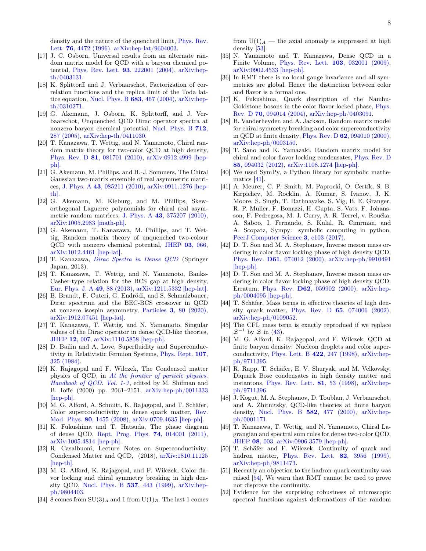density and the nature of the quenched limit, [Phys. Rev.](https://doi.org/10.1103/PhysRevLett.76.4472) Lett. 76[, 4472 \(1996\),](https://doi.org/10.1103/PhysRevLett.76.4472) [arXiv:hep-lat/9604003.](https://arxiv.org/abs/hep-lat/9604003)

- <span id="page-7-0"></span>[17] J. C. Osborn, Universal results from an alternate random matrix model for QCD with a baryon chemical potential, [Phys. Rev. Lett.](https://doi.org/10.1103/PhysRevLett.93.222001) 93, 222001 (2004), [arXiv:hep](https://arxiv.org/abs/hep-th/0403131)[th/0403131.](https://arxiv.org/abs/hep-th/0403131)
- [18] K. Splittorff and J. Verbaarschot, Factorization of correlation functions and the replica limit of the Toda lat-tice equation, [Nucl. Phys. B](https://doi.org/10.1016/j.nuclphysb.2004.01.031)  $683, 467$  (2004), [arXiv:hep](https://arxiv.org/abs/hep-th/0310271)[th/0310271.](https://arxiv.org/abs/hep-th/0310271)
- <span id="page-7-1"></span>[19] G. Akemann, J. Osborn, K. Splittorff, and J. Verbaarschot, Unquenched QCD Dirac operator spectra at nonzero baryon chemical potential, [Nucl. Phys. B](https://doi.org/10.1016/j.nuclphysb.2005.01.018) 712, [287 \(2005\),](https://doi.org/10.1016/j.nuclphysb.2005.01.018) [arXiv:hep-th/0411030.](https://arxiv.org/abs/hep-th/0411030)
- <span id="page-7-2"></span>[20] T. Kanazawa, T. Wettig, and N. Yamamoto, Chiral random matrix theory for two-color QCD at high density, Phys. Rev. D 81[, 081701 \(2010\),](https://doi.org/10.1103/PhysRevD.81.081701) [arXiv:0912.4999 \[hep](https://arxiv.org/abs/0912.4999)[ph\].](https://arxiv.org/abs/0912.4999)
- <span id="page-7-3"></span>[21] G. Akemann, M. Phillips, and H.-J. Sommers, The Chiral Gaussian two-matrix ensemble of real asymmetric matrices, J. Phys. A 43[, 085211 \(2010\),](https://doi.org/10.1088/1751-8113/43/8/085211) [arXiv:0911.1276 \[hep](https://arxiv.org/abs/0911.1276)[th\].](https://arxiv.org/abs/0911.1276)
- [22] G. Akemann, M. Kieburg, and M. Phillips, Skeworthogonal Laguerre polynomials for chiral real asymmetric random matrices, J. Phys. A 43[, 375207 \(2010\),](https://doi.org/10.1088/1751-8113/43/37/375207) [arXiv:1005.2983 \[math-ph\].](https://arxiv.org/abs/1005.2983)
- <span id="page-7-4"></span>[23] G. Akemann, T. Kanazawa, M. Phillips, and T. Wettig, Random matrix theory of unquenched two-colour QCD with nonzero chemical potential, [JHEP](https://doi.org/10.1007/JHEP03(2011)066) 03, 066, [arXiv:1012.4461 \[hep-lat\].](https://arxiv.org/abs/1012.4461)
- <span id="page-7-5"></span>[24] T. Kanazawa, [Dirac Spectra in Dense QCD](https://www.springer.com/jp/book/9784431541646) (Springer Japan, 2013).
- <span id="page-7-6"></span>[25] T. Kanazawa, T. Wettig, and N. Yamamoto, Banks-Casher-type relation for the BCS gap at high density, [Eur. Phys. J. A](https://doi.org/10.1140/epja/i2013-13088-5) 49, 88 (2013), [arXiv:1211.5332 \[hep-lat\].](https://arxiv.org/abs/1211.5332)
- <span id="page-7-7"></span>[26] B. Brandt, F. Cuteri, G. Endrödi, and S. Schmalzbauer, Dirac spectrum and the BEC-BCS crossover in QCD at nonzero isospin asymmetry, Particles 3[, 80 \(2020\),](https://doi.org/10.3390/particles3010007) [arXiv:1912.07451 \[hep-lat\].](https://arxiv.org/abs/1912.07451)
- <span id="page-7-8"></span>[27] T. Kanazawa, T. Wettig, and N. Yamamoto, Singular values of the Dirac operator in dense QCD-like theories, [JHEP](https://doi.org/10.1007/JHEP12(2011)007) 12, 007, [arXiv:1110.5858 \[hep-ph\].](https://arxiv.org/abs/1110.5858)
- <span id="page-7-9"></span>[28] D. Bailin and A. Love, Superfluidity and Superconductivity in Relativistic Fermion Systems, [Phys. Rept.](https://doi.org/10.1016/0370-1573(84)90145-5) 107, [325 \(1984\).](https://doi.org/10.1016/0370-1573(84)90145-5)
- <span id="page-7-10"></span>[29] K. Rajagopal and F. Wilczek, The Condensed matter physics of QCD, in [At the frontier of particle physics.](https://doi.org/10.1142/9789812810458_0043) [Handbook of QCD. Vol. 1-3](https://doi.org/10.1142/9789812810458_0043), edited by M. Shifman and B. Ioffe (2000) pp. 2061–2151, [arXiv:hep-ph/0011333](https://arxiv.org/abs/hep-ph/0011333) [\[hep-ph\].](https://arxiv.org/abs/hep-ph/0011333)
- <span id="page-7-19"></span>[30] M. G. Alford, A. Schmitt, K. Rajagopal, and T. Schäfer, Color superconductivity in dense quark matter, [Rev.](https://doi.org/10.1103/RevModPhys.80.1455) Mod. Phys. 80[, 1455 \(2008\),](https://doi.org/10.1103/RevModPhys.80.1455) [arXiv:0709.4635 \[hep-ph\].](https://arxiv.org/abs/0709.4635)
- [31] K. Fukushima and T. Hatsuda, The phase diagram of dense QCD, [Rept. Prog. Phys.](https://doi.org/10.1088/0034-4885/74/1/014001) 74, 014001 (2011), [arXiv:1005.4814 \[hep-ph\].](https://arxiv.org/abs/1005.4814)
- <span id="page-7-11"></span>[32] R. Casalbuoni, Lecture Notes on Superconductivity: Condensed Matter and QCD, (2018), [arXiv:1810.11125](https://arxiv.org/abs/1810.11125) [\[hep-th\].](https://arxiv.org/abs/1810.11125)
- <span id="page-7-12"></span>[33] M. G. Alford, K. Rajagopal, and F. Wilczek, Color flavor locking and chiral symmetry breaking in high density QCD, [Nucl. Phys. B](https://doi.org/10.1016/S0550-3213(98)00668-3) 537, 443 (1999), [arXiv:hep](https://arxiv.org/abs/hep-ph/9804403)[ph/9804403.](https://arxiv.org/abs/hep-ph/9804403)
- <span id="page-7-13"></span>[34] 8 comes from  $SU(3)<sub>A</sub>$  and 1 from  $U(1)<sub>B</sub>$ . The last 1 comes

from  $U(1)<sub>A</sub>$  — the axial anomaly is suppressed at high density [\[53\]](#page-8-0).

- <span id="page-7-14"></span>[35] N. Yamamoto and T. Kanazawa, Dense QCD in a Finite Volume, [Phys. Rev. Lett.](https://doi.org/10.1103/PhysRevLett.103.032001) 103, 032001 (2009), [arXiv:0902.4533 \[hep-ph\].](https://arxiv.org/abs/0902.4533)
- <span id="page-7-15"></span>[36] In RMT there is no local gauge invariance and all symmetries are global. Hence the distinction between color and flavor is a formal one.
- <span id="page-7-16"></span>[37] K. Fukushima, Quark description of the Nambu-Goldstone bosons in the color flavor locked phase, [Phys.](https://doi.org/10.1103/PhysRevD.70.094014) Rev. D 70[, 094014 \(2004\),](https://doi.org/10.1103/PhysRevD.70.094014) [arXiv:hep-ph/0403091.](https://arxiv.org/abs/hep-ph/0403091)
- <span id="page-7-17"></span>[38] B. Vanderheyden and A. Jackson, Random matrix model for chiral symmetry breaking and color superconductivity in QCD at finite density, Phys. Rev. D 62[, 094010 \(2000\),](https://doi.org/10.1103/PhysRevD.62.094010) [arXiv:hep-ph/0003150.](https://arxiv.org/abs/hep-ph/0003150)
- <span id="page-7-18"></span>[39] T. Sano and K. Yamazaki, Random matrix model for chiral and color-flavor locking condensates, [Phys. Rev. D](https://doi.org/10.1103/PhysRevD.85.094032) 85[, 094032 \(2012\),](https://doi.org/10.1103/PhysRevD.85.094032) [arXiv:1108.1274 \[hep-ph\].](https://arxiv.org/abs/1108.1274)
- <span id="page-7-20"></span>[40] We used SymPy, a Python library for symbolic mathematics [\[41\]](#page-7-21).
- <span id="page-7-21"></span>[41] A. Meurer, C. P. Smith, M. Paprocki, O. Čertík, S. B. Kirpichev, M. Rocklin, A. Kumar, S. Ivanov, J. K. Moore, S. Singh, T. Rathnayake, S. Vig, B. E. Granger, R. P. Muller, F. Bonazzi, H. Gupta, S. Vats, F. Johansson, F. Pedregosa, M. J. Curry, A. R. Terrel, v. Roučka, A. Saboo, I. Fernando, S. Kulal, R. Cimrman, and A. Scopatz, Sympy: symbolic computing in python, [PeerJ Computer Science](https://doi.org/10.7717/peerj-cs.103) 3, e103 (2017).
- <span id="page-7-22"></span>[42] D. T. Son and M. A. Stephanov, Inverse meson mass ordering in color flavor locking phase of high density QCD, Phys. Rev. D61[, 074012 \(2000\),](https://doi.org/10.1103/PhysRevD.61.074012) [arXiv:hep-ph/9910491](https://arxiv.org/abs/hep-ph/9910491) [\[hep-ph\].](https://arxiv.org/abs/hep-ph/9910491)
- [43] D. T. Son and M. A. Stephanov, Inverse meson mass ordering in color flavor locking phase of high density QCD: Erratum, Phys. Rev. D62[, 059902 \(2000\),](https://doi.org/10.1103/PhysRevD.62.059902) [arXiv:hep](https://arxiv.org/abs/hep-ph/0004095)[ph/0004095 \[hep-ph\].](https://arxiv.org/abs/hep-ph/0004095)
- <span id="page-7-23"></span>[44] T. Schäfer, Mass terms in effective theories of high density quark matter, Phys. Rev. D 65[, 074006 \(2002\),](https://doi.org/10.1103/PhysRevD.65.074006) [arXiv:hep-ph/0109052.](https://arxiv.org/abs/hep-ph/0109052)
- <span id="page-7-24"></span>[45] The CFL mass term is exactly reprodued if we replace  $\mathcal{Z}^{-1}$  by  $\mathcal Z$  in [\(43\)](#page-3-3).
- <span id="page-7-25"></span>[46] M. G. Alford, K. Rajagopal, and F. Wilczek, QCD at finite baryon density: Nucleon droplets and color superconductivity, [Phys. Lett. B](https://doi.org/10.1016/S0370-2693(98)00051-3) 422, 247 (1998), [arXiv:hep](https://arxiv.org/abs/hep-ph/9711395)[ph/9711395.](https://arxiv.org/abs/hep-ph/9711395)
- <span id="page-7-26"></span>[47] R. Rapp, T. Schäfer, E. V. Shuryak, and M. Velkovsky, Diquark Bose condensates in high density matter and instantons, [Phys. Rev. Lett.](https://doi.org/10.1103/PhysRevLett.81.53) 81, 53 (1998), [arXiv:hep](https://arxiv.org/abs/hep-ph/9711396)[ph/9711396.](https://arxiv.org/abs/hep-ph/9711396)
- <span id="page-7-27"></span>[48] J. Kogut, M. A. Stephanov, D. Toublan, J. Verbaarschot, and A. Zhitnitsky, QCD-like theories at finite baryon density, [Nucl. Phys. B](https://doi.org/10.1016/S0550-3213(00)00242-X) 582, 477 (2000), [arXiv:hep](https://arxiv.org/abs/hep-ph/0001171)[ph/0001171.](https://arxiv.org/abs/hep-ph/0001171)
- <span id="page-7-28"></span>[49] T. Kanazawa, T. Wettig, and N. Yamamoto, Chiral Lagrangian and spectral sum rules for dense two-color QCD, [JHEP](https://doi.org/10.1088/1126-6708/2009/08/003) 08, 003, [arXiv:0906.3579 \[hep-ph\].](https://arxiv.org/abs/0906.3579)
- <span id="page-7-29"></span>[50] T. Schäfer and F. Wilczek, Continuity of quark and hadron matter, [Phys. Rev. Lett.](https://doi.org/10.1103/PhysRevLett.82.3956) **82**, 3956 (1999), [arXiv:hep-ph/9811473.](https://arxiv.org/abs/hep-ph/9811473)
- <span id="page-7-30"></span>[51] Recently an objection to the hadron-quark continuity was raised [\[54\]](#page-8-1). We warn that RMT cannot be used to prove nor disprove the continuity.
- <span id="page-7-31"></span>[52] Evidence for the surprising robustness of microscopic spectral functions against deformations of the random